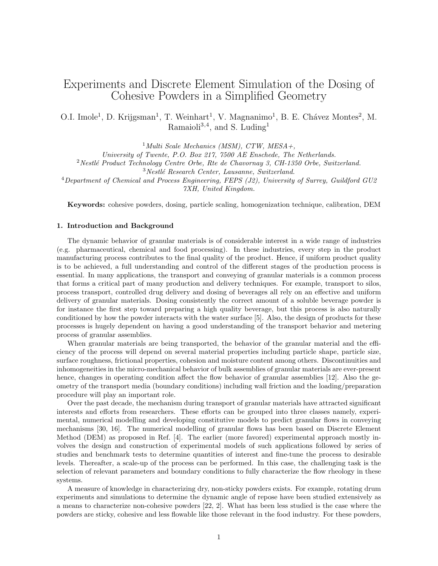# Experiments and Discrete Element Simulation of the Dosing of Cohesive Powders in a Simplified Geometry

O.I. Imole<sup>1</sup>, D. Krijgsman<sup>1</sup>, T. Weinhart<sup>1</sup>, V. Magnanimo<sup>1</sup>, B. E. Chávez Montes<sup>2</sup>, M. Ramaioli<sup>3</sup>*,*<sup>4</sup> , and S. Luding<sup>1</sup>

<sup>1</sup>*Multi Scale Mechanics (MSM), CTW, MESA+,*

*University of Twente, P.O. Box 217, 7500 AE Enschede, The Netherlands.*

<sup>2</sup> Nestlé Product Technology Centre Orbe, Rte de Chavornay 3, CH-1350 Orbe, Switzerland.

<sup>3</sup>*Nestl´e Research Center, Lausanne, Switzerland.*

<sup>4</sup>*Department of Chemical and Process Engineering, FEPS (J2), University of Surrey, Guildford GU2 7XH, United Kingdom.*

**Keywords:** cohesive powders, dosing, particle scaling, homogenization technique, calibration, DEM

# **1. Introduction and Background**

The dynamic behavior of granular materials is of considerable interest in a wide range of industries (e.g. pharmaceutical, chemical and food processing). In these industries, every step in the product manufacturing process contributes to the final quality of the product. Hence, if uniform product quality is to be achieved, a full understanding and control of the different stages of the production process is essential. In many applications, the transport and conveying of granular materials is a common process that forms a critical part of many production and delivery techniques. For example, transport to silos, process transport, controlled drug delivery and dosing of beverages all rely on an effective and uniform delivery of granular materials. Dosing consistently the correct amount of a soluble beverage powder is for instance the first step toward preparing a high quality beverage, but this process is also naturally conditioned by how the powder interacts with the water surface [5]. Also, the design of products for these processes is hugely dependent on having a good understanding of the transport behavior and metering process of granular assemblies.

When granular materials are being transported, the behavior of the granular material and the efficiency of the process will depend on several material properties including particle shape, particle size, surface roughness, frictional properties, cohesion and moisture content among others. Discontinuities and inhomogeneities in the micro-mechanical behavior of bulk assemblies of granular materials are ever-present hence, changes in operating condition affect the flow behavior of granular assemblies [12]. Also the geometry of the transport media (boundary conditions) including wall friction and the loading/preparation procedure will play an important role.

Over the past decade, the mechanism during transport of granular materials have attracted significant interests and efforts from researchers. These efforts can be grouped into three classes namely, experimental, numerical modelling and developing constitutive models to predict granular flows in conveying mechanisms [30, 16]. The numerical modelling of granular flows has been based on Discrete Element Method (DEM) as proposed in Ref. [4]. The earlier (more favored) experimental approach mostly involves the design and construction of experimental models of such applications followed by series of studies and benchmark tests to determine quantities of interest and fine-tune the process to desirable levels. Thereafter, a scale-up of the process can be performed. In this case, the challenging task is the selection of relevant parameters and boundary conditions to fully characterize the flow rheology in these systems.

A measure of knowledge in characterizing dry, non-sticky powders exists. For example, rotating drum experiments and simulations to determine the dynamic angle of repose have been studied extensively as a means to characterize non-cohesive powders [22, 2]. What has been less studied is the case where the powders are sticky, cohesive and less flowable like those relevant in the food industry. For these powders,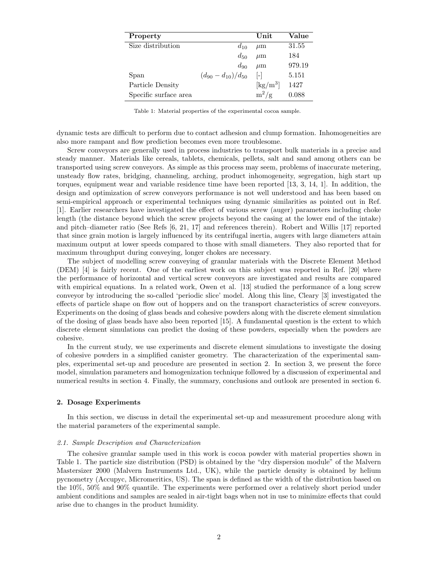| Property              |                            | Unit                                    | Value  |
|-----------------------|----------------------------|-----------------------------------------|--------|
| Size distribution     | $d_{10}$                   | $\mu$ m                                 | 31.55  |
|                       | $d_{50}$                   | $\mu$ m                                 | 184    |
|                       | $d_{90}$                   | $\mu$ m                                 | 979.19 |
| Span                  | $(d_{90} - d_{10})/d_{50}$ | $ - $                                   | 5.151  |
| Particle Density      |                            | $\left[\mathrm{kg}/\mathrm{m}^3\right]$ | 1427   |
| Specific surface area |                            | $m^2/g$                                 | 0.088  |

Table 1: Material properties of the experimental cocoa sample.

dynamic tests are difficult to perform due to contact adhesion and clump formation. Inhomogeneities are also more rampant and flow prediction becomes even more troublesome.

Screw conveyors are generally used in process industries to transport bulk materials in a precise and steady manner. Materials like cereals, tablets, chemicals, pellets, salt and sand among others can be transported using screw conveyors. As simple as this process may seem, problems of inaccurate metering, unsteady flow rates, bridging, channeling, arching, product inhomogeneity, segregation, high start up torques, equipment wear and variable residence time have been reported [13, 3, 14, 1]. In addition, the design and optimization of screw conveyors performance is not well understood and has been based on semi-empirical approach or experimental techniques using dynamic similarities as pointed out in Ref. [1]. Earlier researchers have investigated the effect of various screw (auger) parameters including choke length (the distance beyond which the screw projects beyond the casing at the lower end of the intake) and pitch–diameter ratio (See Refs [6, 21, 17] and references therein). Robert and Willis [17] reported that since grain motion is largely influenced by its centrifugal inertia, augers with large diameters attain maximum output at lower speeds compared to those with small diameters. They also reported that for maximum throughput during conveying, longer chokes are necessary.

The subject of modelling screw conveying of granular materials with the Discrete Element Method (DEM) [4] is fairly recent. One of the earliest work on this subject was reported in Ref. [20] where the performance of horizontal and vertical screw conveyors are investigated and results are compared with empirical equations. In a related work, Owen et al. [13] studied the performance of a long screw conveyor by introducing the so-called 'periodic slice' model. Along this line, Cleary [3] investigated the effects of particle shape on flow out of hoppers and on the transport characteristics of screw conveyors. Experiments on the dosing of glass beads and cohesive powders along with the discrete element simulation of the dosing of glass beads have also been reported [15]. A fundamental question is the extent to which discrete element simulations can predict the dosing of these powders, especially when the powders are cohesive.

In the current study, we use experiments and discrete element simulations to investigate the dosing of cohesive powders in a simplified canister geometry. The characterization of the experimental samples, experimental set-up and procedure are presented in section 2. In section 3, we present the force model, simulation parameters and homogenization technique followed by a discussion of experimental and numerical results in section 4. Finally, the summary, conclusions and outlook are presented in section 6.

# **2. Dosage Experiments**

In this section, we discuss in detail the experimental set-up and measurement procedure along with the material parameters of the experimental sample.

# *2.1. Sample Description and Characterization*

The cohesive granular sample used in this work is cocoa powder with material properties shown in Table 1. The particle size distribution (PSD) is obtained by the "dry dispersion module" of the Malvern Mastersizer 2000 (Malvern Instruments Ltd., UK), while the particle density is obtained by helium pycnometry (Accupyc, Micromeritics, US). The span is defined as the width of the distribution based on the 10%, 50% and 90% quantile. The experiments were performed over a relatively short period under ambient conditions and samples are sealed in air-tight bags when not in use to minimize effects that could arise due to changes in the product humidity.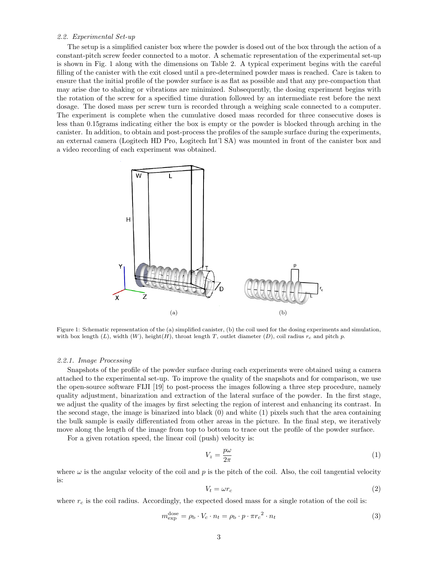# *2.2. Experimental Set-up*

The setup is a simplified canister box where the powder is dosed out of the box through the action of a constant-pitch screw feeder connected to a motor. A schematic representation of the experimental set-up is shown in Fig. 1 along with the dimensions on Table 2. A typical experiment begins with the careful filling of the canister with the exit closed until a pre-determined powder mass is reached. Care is taken to ensure that the initial profile of the powder surface is as flat as possible and that any pre-compaction that may arise due to shaking or vibrations are minimized. Subsequently, the dosing experiment begins with the rotation of the screw for a specified time duration followed by an intermediate rest before the next dosage. The dosed mass per screw turn is recorded through a weighing scale connected to a computer. The experiment is complete when the cumulative dosed mass recorded for three consecutive doses is less than 0.15grams indicating either the box is empty or the powder is blocked through arching in the canister. In addition, to obtain and post-process the profiles of the sample surface during the experiments, an external camera (Logitech HD Pro, Logitech Int'l SA) was mounted in front of the canister box and a video recording of each experiment was obtained.



Figure 1: Schematic representation of the (a) simplified canister, (b) the coil used for the dosing experiments and simulation, with box length  $(L)$ , width  $(W)$ , height $(H)$ , throat length *T*, outlet diameter  $(D)$ , coil radius  $r_c$  and pitch  $p$ .

# *2.2.1. Image Processing*

Snapshots of the profile of the powder surface during each experiments were obtained using a camera attached to the experimental set-up. To improve the quality of the snapshots and for comparison, we use the open-source software FIJI [19] to post-process the images following a three step procedure, namely quality adjustment, binarization and extraction of the lateral surface of the powder. In the first stage, we adjust the quality of the images by first selecting the region of interest and enhancing its contrast. In the second stage, the image is binarized into black (0) and white (1) pixels such that the area containing the bulk sample is easily differentiated from other areas in the picture. In the final step, we iteratively move along the length of the image from top to bottom to trace out the profile of the powder surface.

For a given rotation speed, the linear coil (push) velocity is:

$$
V_z = \frac{p\omega}{2\pi} \tag{1}
$$

where  $\omega$  is the angular velocity of the coil and  $p$  is the pitch of the coil. Also, the coil tangential velocity is:

$$
V_t = \omega r_c \tag{2}
$$

where  $r_c$  is the coil radius. Accordingly, the expected dosed mass for a single rotation of the coil is:

$$
m_{\text{exp}}^{\text{dose}} = \rho_{\text{b}} \cdot V_c \cdot n_t = \rho_{\text{b}} \cdot p \cdot \pi r_c^2 \cdot n_t \tag{3}
$$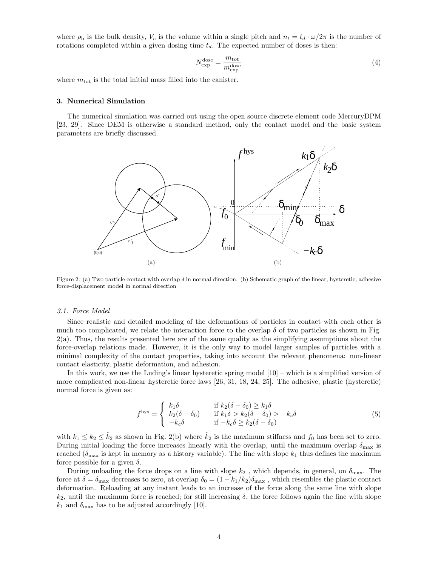where  $\rho_b$  is the bulk density,  $V_c$  is the volume within a single pitch and  $n_t = t_d \cdot \omega/2\pi$  is the number of rotations completed within a given dosing time  $t_d$ . The expected number of doses is then:

$$
N_{\rm exp}^{\rm dose} = \frac{m_{\rm tot}}{m_{\rm exp}^{\rm dose}}\tag{4}
$$

where  $m_{\text{tot}}$  is the total initial mass filled into the canister.

## **3. Numerical Simulation**

The numerical simulation was carried out using the open source discrete element code MercuryDPM [23, 29]. Since DEM is otherwise a standard method, only the contact model and the basic system parameters are briefly discussed.



Figure 2: (a) Two particle contact with overlap  $\delta$  in normal direction. (b) Schematic graph of the linear, hysteretic, adhesive force-displacement model in normal direction

## *3.1. Force Model*

Since realistic and detailed modeling of the deformations of particles in contact with each other is much too complicated, we relate the interaction force to the overlap  $\delta$  of two particles as shown in Fig. 2(a). Thus, the results presented here are of the same quality as the simplifying assumptions about the force-overlap relations made. However, it is the only way to model larger samples of particles with a minimal complexity of the contact properties, taking into account the relevant phenomena: non-linear contact elasticity, plastic deformation, and adhesion.

In this work, we use the Luding's linear hysteretic spring model [10] – which is a simplified version of more complicated non-linear hysteretic force laws [26, 31, 18, 24, 25]. The adhesive, plastic (hysteretic) normal force is given as:

$$
fhys = \begin{cases} k_1 \delta & \text{if } k_2(\delta - \delta_0) \ge k_1 \delta \\ k_2(\delta - \delta_0) & \text{if } k_1 \delta > k_2(\delta - \delta_0) > -k_c \delta \\ -k_c \delta & \text{if } -k_c \delta \ge k_2(\delta - \delta_0) \end{cases}
$$
 (5)

with  $k_1 \leq k_2 \leq \hat{k}_2$  as shown in Fig. 2(b) where  $\hat{k}_2$  is the maximum stiffness and  $f_0$  has been set to zero. During initial loading the force increases linearly with the overlap, until the maximum overlap  $\delta_{\text{max}}$  is reached ( $\delta_{\text{max}}$  is kept in memory as a history variable). The line with slope  $k_1$  thus defines the maximum force possible for a given  $\delta$ .

During unloading the force drops on a line with slope  $k_2$ , which depends, in general, on  $\delta_{\text{max}}$ . The force at  $\delta = \delta_{\text{max}}$  decreases to zero, at overlap  $\delta_0 = (1 - k_1/k_2)\delta_{\text{max}}$ , which resembles the plastic contact deformation. Reloading at any instant leads to an increase of the force along the same line with slope  $k_2$ , until the maximum force is reached; for still increasing  $\delta$ , the force follows again the line with slope  $k_1$  and  $\delta_{\text{max}}$  has to be adjusted accordingly [10].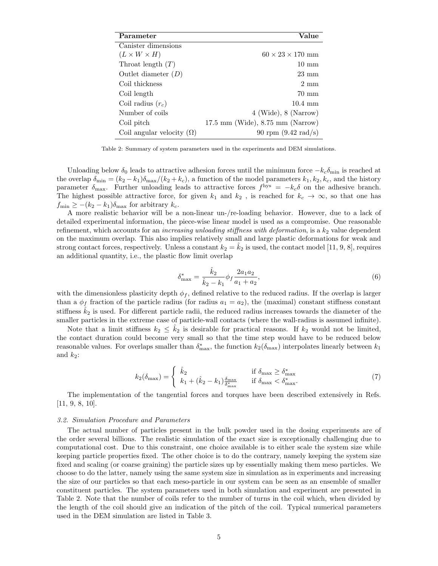| Parameter                        | Value                                                |
|----------------------------------|------------------------------------------------------|
| Canister dimensions              |                                                      |
| $(L \times W \times H)$          | $60 \times 23 \times 170$ mm                         |
| Throat length $(T)$              | $10 \text{ mm}$                                      |
| Outlet diameter $(D)$            | $23 \text{ mm}$                                      |
| Coil thickness                   | $2 \text{ mm}$                                       |
| Coil length                      | 70 mm                                                |
| Coil radius $(r_c)$              | $10.4 \text{ mm}$                                    |
| Number of coils                  | $4$ (Wide), $8$ (Narrow)                             |
| Coil pitch                       | $17.5 \text{ mm}$ (Wide), $8.75 \text{ mm}$ (Narrow) |
| Coil angular velocity $(\Omega)$ | 90 rpm $(9.42 \text{ rad/s})$                        |

Table 2: Summary of system parameters used in the experiments and DEM simulations.

Unloading below  $\delta_0$  leads to attractive adhesion forces until the minimum force  $-k_c\delta_{\min}$  is reached at the overlap  $\delta_{\min} = (k_2 - k_1)\delta_{\max}/(k_2 + k_c)$ , a function of the model parameters  $k_1, k_2, k_c$ , and the history parameter  $\delta_{\text{max}}$ . Further unloading leads to attractive forces  $f^{\text{hys}} = -k_c \delta$  on the adhesive branch. The highest possible attractive force, for given  $k_1$  and  $k_2$ , is reached for  $k_c \to \infty$ , so that one has  $f_{\min} \geq -(k_2 - k_1)\delta_{\max}$  for arbitrary  $k_c$ .

A more realistic behavior will be a non-linear un-/re-loading behavior. However, due to a lack of detailed experimental information, the piece-wise linear model is used as a compromise. One reasonable refinement, which accounts for an *increasing unloading stiffness with deformation*, is a  $k_2$  value dependent on the maximum overlap. This also implies relatively small and large plastic deformations for weak and strong contact forces, respectively. Unless a constant  $k_2 = \hat{k}_2$  is used, the contact model [11, 9, 8], requires an additional quantity, i.e., the plastic flow limit overlap

$$
\delta_{\max}^* = \frac{\hat{k}_2}{\hat{k}_2 - k_1} \phi_f \frac{2a_1 a_2}{a_1 + a_2},\tag{6}
$$

with the dimensionless plasticity depth  $\phi_f$ , defined relative to the reduced radius. If the overlap is larger than a  $\phi_f$  fraction of the particle radius (for radius  $a_1 = a_2$ ), the (maximal) constant stiffness constant stiffness  $\hat{k}_2$  is used. For different particle radii, the reduced radius increases towards the diameter of the smaller particles in the extreme case of particle-wall contacts (where the wall-radius is assumed infinite).

Note that a limit stiffness  $k_2 \leq k_2$  is desirable for practical reasons. If  $k_2$  would not be limited, the contact duration could become very small so that the time step would have to be reduced below reasonable values. For overlaps smaller than  $\delta^*_{\max}$ , the function  $k_2(\delta_{\max})$  interpolates linearly between  $k_1$ and  $k_2$ :

$$
k_2(\delta_{\max}) = \begin{cases} \hat{k}_2 & \text{if } \delta_{\max} \ge \delta_{\max}^*\\ k_1 + (\hat{k}_2 - k_1) \frac{\delta_{\max}}{\delta_{\max}^*} & \text{if } \delta_{\max} < \delta_{\max}^*.\end{cases}
$$
(7)

The implementation of the tangential forces and torques have been described extensively in Refs. [11, 9, 8, 10].

## *3.2. Simulation Procedure and Parameters*

The actual number of particles present in the bulk powder used in the dosing experiments are of the order several billions. The realistic simulation of the exact size is exceptionally challenging due to computational cost. Due to this constraint, one choice available is to either scale the system size while keeping particle properties fixed. The other choice is to do the contrary, namely keeping the system size fixed and scaling (or coarse graining) the particle sizes up by essentially making them meso particles. We choose to do the latter, namely using the same system size in simulation as in experiments and increasing the size of our particles so that each meso-particle in our system can be seen as an ensemble of smaller constituent particles. The system parameters used in both simulation and experiment are presented in Table 2. Note that the number of coils refer to the number of turns in the coil which, when divided by the length of the coil should give an indication of the pitch of the coil. Typical numerical parameters used in the DEM simulation are listed in Table 3.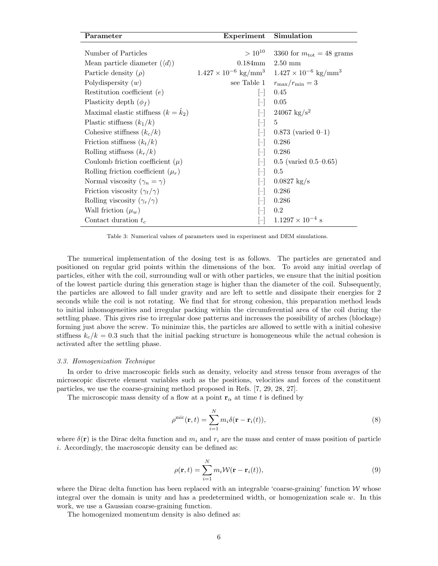| Parameter                                    | Experiment                                | Simulation                                |  |
|----------------------------------------------|-------------------------------------------|-------------------------------------------|--|
| Number of Particles                          | $> 10^{10}$                               | 3360 for $m_{\text{tot}} = 48$ grams      |  |
| Mean particle diameter $(\langle d \rangle)$ | $0.184 \text{mm}$                         | $2.50 \text{ mm}$                         |  |
| Particle density $(\rho)$                    | $1.427 \times 10^{-6}$ kg/mm <sup>3</sup> | $1.427 \times 10^{-6}$ kg/mm <sup>3</sup> |  |
| Polydispersity $(w)$                         | see Table 1                               | $r_{\rm max}/r_{\rm min}=3$               |  |
| Restitution coefficient $(e)$                |                                           | 0.45                                      |  |
| Plasticity depth $(\phi_f)$                  |                                           | 0.05                                      |  |
| Maximal elastic stiffness $(k = \hat{k}_2)$  | H                                         | $24067 \text{ kg/s}^2$                    |  |
| Plastic stiffness $(k_1/k)$                  |                                           | 5                                         |  |
| Cohesive stiffness $(k_c/k)$                 |                                           | $0.873$ (varied $0-1$ )                   |  |
| Friction stiffness $(k_t/k)$                 |                                           | 0.286                                     |  |
| Rolling stiffness $(k_r/k)$                  |                                           | 0.286                                     |  |
| Coulomb friction coefficient $(\mu)$         |                                           | $0.5$ (varied $0.5-0.65$ )                |  |
| Rolling friction coefficient $(\mu_r)$       |                                           | 0.5                                       |  |
| Normal viscosity $(\gamma_n = \gamma)$       |                                           | $0.0827 \text{ kg/s}$                     |  |
| Friction viscosity $(\gamma_t/\gamma)$       |                                           | 0.286                                     |  |
| Rolling viscosity $(\gamma_r/\gamma)$        |                                           | 0.286                                     |  |
| Wall friction $(\mu_w)$                      |                                           | 0.2                                       |  |
| Contact duration $t_c$                       |                                           | $1.1297 \times 10^{-4}$ s                 |  |

Table 3: Numerical values of parameters used in experiment and DEM simulations.

The numerical implementation of the dosing test is as follows. The particles are generated and positioned on regular grid points within the dimensions of the box. To avoid any initial overlap of particles, either with the coil, surrounding wall or with other particles, we ensure that the initial position of the lowest particle during this generation stage is higher than the diameter of the coil. Subsequently, the particles are allowed to fall under gravity and are left to settle and dissipate their energies for 2 seconds while the coil is not rotating. We find that for strong cohesion, this preparation method leads to initial inhomogeneities and irregular packing within the circumferential area of the coil during the settling phase. This gives rise to irregular dose patterns and increases the possibility of arches (blockage) forming just above the screw. To minimize this, the particles are allowed to settle with a initial cohesive stiffness  $k_c/k = 0.3$  such that the initial packing structure is homogeneous while the actual cohesion is activated after the settling phase.

## *3.3. Homogenization Technique*

In order to drive macroscopic fields such as density, velocity and stress tensor from averages of the microscopic discrete element variables such as the positions, velocities and forces of the constituent particles, we use the coarse-graining method proposed in Refs. [7, 29, 28, 27].

The microscopic mass density of a flow at a point  $\mathbf{r}_{\alpha}$  at time *t* is defined by

$$
\rho^{\text{mic}}(\mathbf{r}, t) = \sum_{i=1}^{N} m_i \delta(\mathbf{r} - \mathbf{r}_i(t)),
$$
\n(8)

where  $\delta(\mathbf{r})$  is the Dirac delta function and  $m_i$  and  $r_i$  are the mass and center of mass position of particle *i*. Accordingly, the macroscopic density can be defined as:

$$
\rho(\mathbf{r},t) = \sum_{i=1}^{N} m_i \mathcal{W}(\mathbf{r} - \mathbf{r}_i(t)),
$$
\n(9)

where the Dirac delta function has been replaced with an integrable 'coarse-graining' function  $W$  whose integral over the domain is unity and has a predetermined width, or homogenization scale *w*. In this work, we use a Gaussian coarse-graining function.

The homogenized momentum density is also defined as: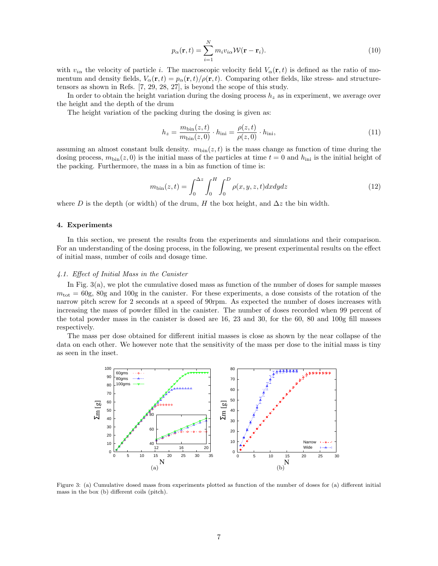$$
p_{\alpha}(\mathbf{r},t) = \sum_{i=1}^{N} m_i v_{i\alpha} \mathcal{W}(\mathbf{r} - \mathbf{r}_i).
$$
 (10)

with  $v_{i\alpha}$  the velocity of particle *i*. The macroscopic velocity field  $V_{\alpha}(\mathbf{r},t)$  is defined as the ratio of momentum and density fields,  $V_\alpha(\mathbf{r}, t) = p_\alpha(\mathbf{r}, t)/\rho(\mathbf{r}, t)$ . Comparing other fields, like stress- and structuretensors as shown in Refs. [7, 29, 28, 27], is beyond the scope of this study.

In order to obtain the height variation during the dosing process  $h<sub>z</sub>$  as in experiment, we average over the height and the depth of the drum

The height variation of the packing during the dosing is given as:

$$
h_z = \frac{m_{\text{bin}}(z, t)}{m_{\text{bin}}(z, 0)} \cdot h_{\text{ini}} = \frac{\rho(z, t)}{\rho(z, 0)} \cdot h_{\text{ini}},\tag{11}
$$

assuming an almost constant bulk density.  $m_{\text{bin}}(z, t)$  is the mass change as function of time during the dosing process,  $m_{\text{bin}}(z,0)$  is the initial mass of the particles at time  $t = 0$  and  $h_{\text{ini}}$  is the initial height of the packing. Furthermore, the mass in a bin as function of time is:

$$
m_{\text{bin}}(z,t) = \int_0^{\Delta z} \int_0^H \int_0^D \rho(x,y,z,t) dx dy dz \tag{12}
$$

where *D* is the depth (or width) of the drum, *H* the box height, and  $\Delta z$  the bin width.

# **4. Experiments**

In this section, we present the results from the experiments and simulations and their comparison. For an understanding of the dosing process, in the following, we present experimental results on the effect of initial mass, number of coils and dosage time.

# *4.1. Effect of Initial Mass in the Canister*

In Fig. 3(a), we plot the cumulative dosed mass as function of the number of doses for sample masses  $m_{\text{tot}} = 60$ g, 80g and 100g in the canister. For these experiments, a dose consists of the rotation of the narrow pitch screw for 2 seconds at a speed of 90rpm. As expected the number of doses increases with increasing the mass of powder filled in the canister. The number of doses recorded when 99 percent of the total powder mass in the canister is dosed are 16, 23 and 30, for the 60, 80 and 100g fill masses respectively.

The mass per dose obtained for different initial masses is close as shown by the near collapse of the data on each other. We however note that the sensitivity of the mass per dose to the initial mass is tiny as seen in the inset.



Figure 3: (a) Cumulative dosed mass from experiments plotted as function of the number of doses for (a) different initial mass in the box (b) different coils (pitch).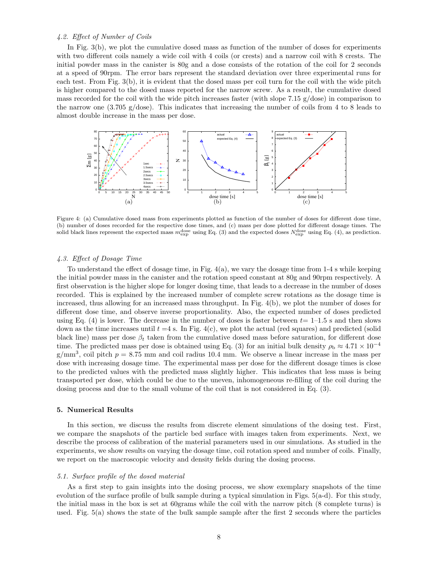# *4.2. Effect of Number of Coils*

In Fig. 3(b), we plot the cumulative dosed mass as function of the number of doses for experiments with two different coils namely a wide coil with 4 coils (or crests) and a narrow coil with 8 crests. The initial powder mass in the canister is 80g and a dose consists of the rotation of the coil for 2 seconds at a speed of 90rpm. The error bars represent the standard deviation over three experimental runs for each test. From Fig. 3(b), it is evident that the dosed mass per coil turn for the coil with the wide pitch is higher compared to the dosed mass reported for the narrow screw. As a result, the cumulative dosed mass recorded for the coil with the wide pitch increases faster (with slope 7.15 g/dose) in comparison to the narrow one (3.705 g/dose). This indicates that increasing the number of coils from 4 to 8 leads to almost double increase in the mass per dose.



Figure 4: (a) Cumulative dosed mass from experiments plotted as function of the number of doses for different dose time, (b) number of doses recorded for the respective dose times, and (c) mass per dose plotted for different dosage times. The solid black lines represent the expected mass  $m_{\text{exp}}^{\text{dose}}$  using Eq. (3) and the expected doses  $N_{\text{exp}}^{\text{dose}}$  using Eq. (4), as prediction.

# *4.3. Effect of Dosage Time*

To understand the effect of dosage time, in Fig.  $4(a)$ , we vary the dosage time from 1-4 s while keeping the initial powder mass in the canister and the rotation speed constant at 80g and 90rpm respectively. A first observation is the higher slope for longer dosing time, that leads to a decrease in the number of doses recorded. This is explained by the increased number of complete screw rotations as the dosage time is increased, thus allowing for an increased mass throughput. In Fig. 4(b), we plot the number of doses for different dose time, and observe inverse proportionality. Also, the expected number of doses predicted using Eq.  $(4)$  is lower. The decrease in the number of doses is faster between  $t=1-1.5$  s and then slows down as the time increases until  $t = 4$  s. In Fig.  $4(c)$ , we plot the actual (red squares) and predicted (solid black line) mass per dose *β<sup>t</sup>* taken from the cumulative dosed mass before saturation, for different dose time. The predicted mass per dose is obtained using Eq. (3) for an initial bulk density  $\rho_b \approx 4.71 \times 10^{-4}$  $g/mm^3$ , coil pitch  $p = 8.75$  mm and coil radius 10.4 mm. We observe a linear increase in the mass per dose with increasing dosage time. The experimental mass per dose for the different dosage times is close to the predicted values with the predicted mass slightly higher. This indicates that less mass is being transported per dose, which could be due to the uneven, inhomogeneous re-filling of the coil during the dosing process and due to the small volume of the coil that is not considered in Eq. (3).

# **5. Numerical Results**

In this section, we discuss the results from discrete element simulations of the dosing test. First, we compare the snapshots of the particle bed surface with images taken from experiments. Next, we describe the process of calibration of the material parameters used in our simulations. As studied in the experiments, we show results on varying the dosage time, coil rotation speed and number of coils. Finally, we report on the macroscopic velocity and density fields during the dosing process.

# *5.1. Surface profile of the dosed material*

As a first step to gain insights into the dosing process, we show exemplary snapshots of the time evolution of the surface profile of bulk sample during a typical simulation in Figs. 5(a-d). For this study, the initial mass in the box is set at 60grams while the coil with the narrow pitch (8 complete turns) is used. Fig. 5(a) shows the state of the bulk sample sample after the first 2 seconds where the particles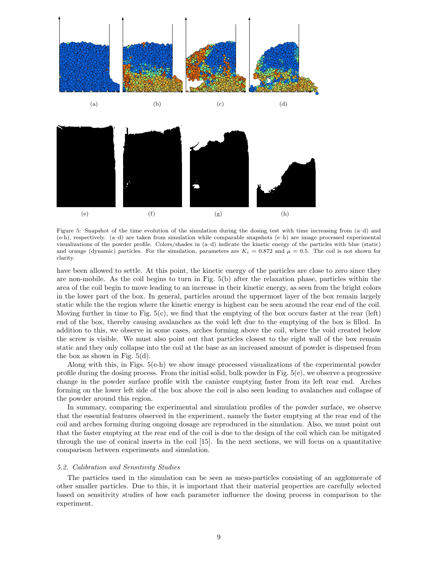

Figure 5: Snapshot of the time evolution of the simulation during the dosing test with time increasing from (a–d) and (e-h), respectively. (a–d) are taken from simulation while comparable snapshots (e–h) are image processed experimental visualizations of the powder profile. Colors/shades in (a–d) indicate the kinetic energy of the particles with blue (static) and orange (dynamic) particles. For the simulation, parameters are  $K_c = 0.872$  and  $\mu = 0.5$ . The coil is not shown for clarity.

have been allowed to settle. At this point, the kinetic energy of the particles are close to zero since they are non-mobile. As the coil begins to turn in Fig. 5(b) after the relaxation phase, particles within the area of the coil begin to move leading to an increase in their kinetic energy, as seen from the bright colors in the lower part of the box. In general, particles around the uppermost layer of the box remain largely static while the the region where the kinetic energy is highest can be seen around the rear end of the coil. Moving further in time to Fig. 5(c), we find that the emptying of the box occurs faster at the rear (left) end of the box, thereby causing avalanches as the void left due to the emptying of the box is filled. In addition to this, we observe in some cases, arches forming above the coil, where the void created below the screw is visible. We must also point out that particles closest to the right wall of the box remain static and they only collapse into the coil at the base as an increased amount of powder is dispensed from the box as shown in Fig. 5(d).

Along with this, in Figs.  $5(e-h)$  we show image processed visualizations of the experimental powder profile during the dosing process. From the initial solid, bulk powder in Fig.  $5(e)$ , we observe a progressive change in the powder surface profile with the canister emptying faster from its left rear end. Arches forming on the lower left side of the box above the coil is also seen leading to avalanches and collapse of the powder around this region.

In summary, comparing the experimental and simulation profiles of the powder surface, we observe that the essential features observed in the experiment, namely the faster emptying at the rear end of the coil and arches forming during ongoing dosage are reproduced in the simulation. Also, we must point out that the faster emptying at the rear end of the coil is due to the design of the coil which can be mitigated through the use of conical inserts in the coil [15]. In the next sections, we will focus on a quantitative comparison between experiments and simulation.

## *5.2. Calibration and Sensitivity Studies*

The particles used in the simulation can be seen as meso-particles consisting of an agglomerate of other smaller particles. Due to this, it is important that their material properties are carefully selected based on sensitivity studies of how each parameter influence the dosing process in comparison to the experiment.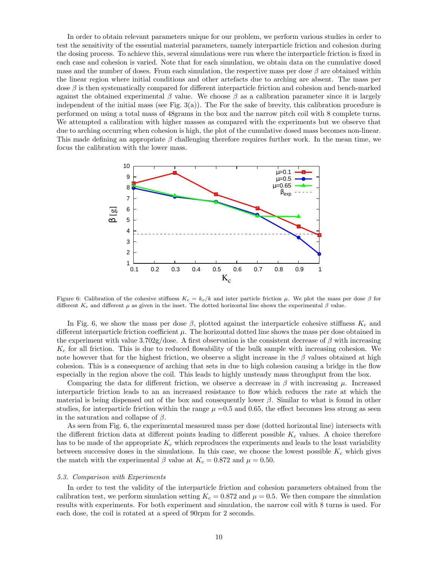In order to obtain relevant parameters unique for our problem, we perform various studies in order to test the sensitivity of the essential material parameters, namely interparticle friction and cohesion during the dosing process. To achieve this, several simulations were run where the interparticle friction is fixed in each case and cohesion is varied. Note that for each simulation, we obtain data on the cumulative dosed mass and the number of doses. From each simulation, the respective mass per dose  $\beta$  are obtained within the linear region where initial conditions and other artefacts due to arching are absent. The mass per dose *β* is then systematically compared for different interparticle friction and cohesion and bench-marked against the obtained experimental  $\beta$  value. We choose  $\beta$  as a calibration parameter since it is largely independent of the initial mass (see Fig.  $3(a)$ ). The For the sake of brevity, this calibration procedure is performed on using a total mass of 48grams in the box and the narrow pitch coil with 8 complete turns. We attempted a calibration with higher masses as compared with the experiments but we observe that due to arching occurring when cohesion is high, the plot of the cumulative dosed mass becomes non-linear. This made defining an appropriate *β* challenging therefore requires further work. In the mean time, we focus the calibration with the lower mass.



Figure 6: Calibration of the cohesive stiffness  $K_c = k_c / k$  and inter particle friction *μ*. We plot the mass per dose *β* for different  $K_c$  and different  $\mu$  as given in the inset. The dotted horizontal line shows the experimental  $\beta$  value.

In Fig. 6, we show the mass per dose  $\beta$ , plotted against the interparticle cohesive stiffness  $K_c$  and different interparticle friction coefficient *µ*. The horizontal dotted line shows the mass per dose obtained in the experiment with value 3.702g/dose. A first observation is the consistent decrease of *β* with increasing *K<sup>c</sup>* for all friction. This is due to reduced flowability of the bulk sample with increasing cohesion. We note however that for the highest friction, we observe a slight increase in the *β* values obtained at high cohesion. This is a consequence of arching that sets in due to high cohesion causing a bridge in the flow especially in the region above the coil. This leads to highly unsteady mass throughput from the box.

Comparing the data for different friction, we observe a decrease in *β* with increasing *µ*. Increased interparticle friction leads to an an increased resistance to flow which reduces the rate at which the material is being dispensed out of the box and consequently lower  $\beta$ . Similar to what is found in other studies, for interparticle friction within the range  $\mu = 0.5$  and 0.65, the effect becomes less strong as seen in the saturation and collapse of *β*.

As seen from Fig. 6, the experimental measured mass per dose (dotted horizontal line) intersects with the different friction data at different points leading to different possible *K<sup>c</sup>* values. A choice therefore has to be made of the appropriate *K<sup>c</sup>* which reproduces the experiments and leads to the least variability between successive doses in the simulations. In this case, we choose the lowest possible *K<sup>c</sup>* which gives the match with the experimental  $\beta$  value at  $K_c = 0.872$  and  $\mu = 0.50$ .

## *5.3. Comparison with Experiments*

In order to test the validity of the interparticle friction and cohesion parameters obtained from the calibration test, we perform simulation setting  $K_c = 0.872$  and  $\mu = 0.5$ . We then compare the simulation results with experiments. For both experiment and simulation, the narrow coil with 8 turns is used. For each dose, the coil is rotated at a speed of 90rpm for 2 seconds.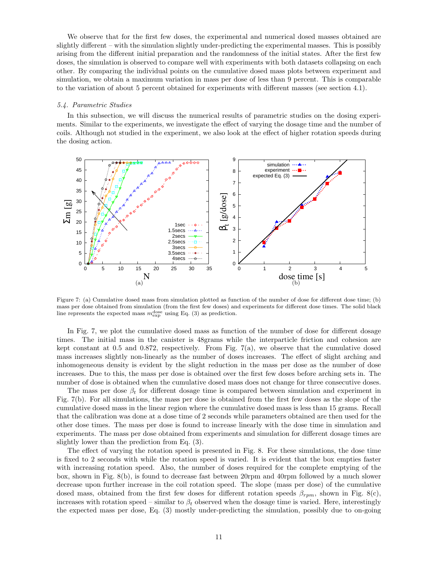We observe that for the first few doses, the experimental and numerical dosed masses obtained are slightly different – with the simulation slightly under-predicting the experimental masses. This is possibly arising from the different initial preparation and the randomness of the initial states. After the first few doses, the simulation is observed to compare well with experiments with both datasets collapsing on each other. By comparing the individual points on the cumulative dosed mass plots between experiment and simulation, we obtain a maximum variation in mass per dose of less than 9 percent. This is comparable to the variation of about 5 percent obtained for experiments with different masses (see section 4.1).

## *5.4. Parametric Studies*

In this subsection, we will discuss the numerical results of parametric studies on the dosing experiments. Similar to the experiments, we investigate the effect of varying the dosage time and the number of coils. Although not studied in the experiment, we also look at the effect of higher rotation speeds during the dosing action.



Figure 7: (a) Cumulative dosed mass from simulation plotted as function of the number of dose for different dose time; (b) mass per dose obtained from simulation (from the first few doses) and experiments for different dose times. The solid black line represents the expected mass  $m_{\text{exp}}^{\text{dose}}$  using Eq. (3) as prediction.

In Fig. 7, we plot the cumulative dosed mass as function of the number of dose for different dosage times. The initial mass in the canister is 48grams while the interparticle friction and cohesion are kept constant at 0.5 and 0.872, respectively. From Fig. 7(a), we observe that the cumulative dosed mass increases slightly non-linearly as the number of doses increases. The effect of slight arching and inhomogeneous density is evident by the slight reduction in the mass per dose as the number of dose increases. Due to this, the mass per dose is obtained over the first few doses before arching sets in. The number of dose is obtained when the cumulative dosed mass does not change for three consecutive doses.

The mass per dose  $\beta_t$  for different dosage time is compared between simulation and experiment in Fig. 7(b). For all simulations, the mass per dose is obtained from the first few doses as the slope of the cumulative dosed mass in the linear region where the cumulative dosed mass is less than 15 grams. Recall that the calibration was done at a dose time of 2 seconds while parameters obtained are then used for the other dose times. The mass per dose is found to increase linearly with the dose time in simulation and experiments. The mass per dose obtained from experiments and simulation for different dosage times are slightly lower than the prediction from Eq. (3).

The effect of varying the rotation speed is presented in Fig. 8. For these simulations, the dose time is fixed to 2 seconds with while the rotation speed is varied. It is evident that the box empties faster with increasing rotation speed. Also, the number of doses required for the complete emptying of the box, shown in Fig. 8(b), is found to decrease fast between 20rpm and 40rpm followed by a much slower decrease upon further increase in the coil rotation speed. The slope (mass per dose) of the cumulative dosed mass, obtained from the first few doses for different rotation speeds *βrpm*, shown in Fig. 8(c), increases with rotation speed – similar to  $\beta_t$  observed when the dosage time is varied. Here, interestingly the expected mass per dose, Eq. (3) mostly under-predicting the simulation, possibly due to on-going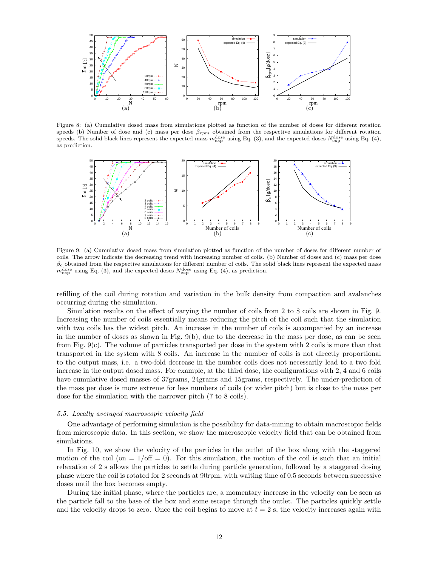

Figure 8: (a) Cumulative dosed mass from simulations plotted as function of the number of doses for different rotation speeds (b) Number of dose and (c) mass per dose *βrpm* obtained from the respective simulations for different rotation speeds. The solid black lines represent the expected mass  $m_{\text{exp}}^{\text{dose}}$  using Eq. (3), and the expected doses  $N_{\text{exp}}^{\text{dose}}$  using Eq. (4), as prediction.



Figure 9: (a) Cumulative dosed mass from simulation plotted as function of the number of doses for different number of coils. The arrow indicate the decreasing trend with increasing number of coils. (b) Number of doses and (c) mass per dose  $\beta_c$  obtained from the respective simulations for different number of coils. The solid black lines represent the expected mass  $m_{\text{exp}}^{\text{dose}}$  using Eq. (3), and the expected doses  $N_{\text{exp}}^{\text{dose}}$  using Eq. (4), as prediction.

refilling of the coil during rotation and variation in the bulk density from compaction and avalanches occurring during the simulation.

Simulation results on the effect of varying the number of coils from 2 to 8 coils are shown in Fig. 9. Increasing the number of coils essentially means reducing the pitch of the coil such that the simulation with two coils has the widest pitch. An increase in the number of coils is accompanied by an increase in the number of doses as shown in Fig. 9(b), due to the decrease in the mass per dose, as can be seen from Fig. 9(c). The volume of particles transported per dose in the system with 2 coils is more than that transported in the system with 8 coils. An increase in the number of coils is not directly proportional to the output mass, i.e. a two-fold decrease in the number coils does not necessarily lead to a two fold increase in the output dosed mass. For example, at the third dose, the configurations with 2, 4 and 6 coils have cumulative dosed masses of 37grams, 24grams and 15grams, respectively. The under-prediction of the mass per dose is more extreme for less numbers of coils (or wider pitch) but is close to the mass per dose for the simulation with the narrower pitch (7 to 8 coils).

# *5.5. Locally averaged macroscopic velocity field*

One advantage of performing simulation is the possibility for data-mining to obtain macroscopic fields from microscopic data. In this section, we show the macroscopic velocity field that can be obtained from simulations.

In Fig. 10, we show the velocity of the particles in the outlet of the box along with the staggered motion of the coil (on  $= 1/\text{off} = 0$ ). For this simulation, the motion of the coil is such that an initial relaxation of 2 s allows the particles to settle during particle generation, followed by a staggered dosing phase where the coil is rotated for 2 seconds at 90rpm, with waiting time of 0.5 seconds between successive doses until the box becomes empty.

During the initial phase, where the particles are, a momentary increase in the velocity can be seen as the particle fall to the base of the box and some escape through the outlet. The particles quickly settle and the velocity drops to zero. Once the coil begins to move at  $t = 2$  s, the velocity increases again with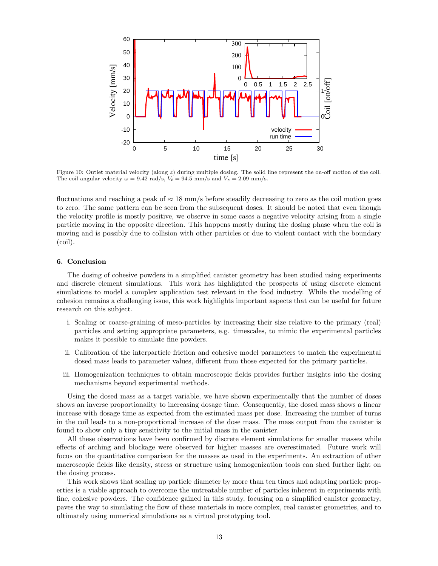

Figure 10: Outlet material velocity (along *z*) during multiple dosing. The solid line represent the on-off motion of the coil. The coil angular velocity  $\omega = 9.42$  rad/s,  $V_t = 94.5$  mm/s and  $V_z = 2.09$  mm/s.

fluctuations and reaching a peak of *≈* 18 mm/s before steadily decreasing to zero as the coil motion goes to zero. The same pattern can be seen from the subsequent doses. It should be noted that even though the velocity profile is mostly positive, we observe in some cases a negative velocity arising from a single particle moving in the opposite direction. This happens mostly during the dosing phase when the coil is moving and is possibly due to collision with other particles or due to violent contact with the boundary (coil).

## **6. Conclusion**

The dosing of cohesive powders in a simplified canister geometry has been studied using experiments and discrete element simulations. This work has highlighted the prospects of using discrete element simulations to model a complex application test relevant in the food industry. While the modelling of cohesion remains a challenging issue, this work highlights important aspects that can be useful for future research on this subject.

- i. Scaling or coarse-graining of meso-particles by increasing their size relative to the primary (real) particles and setting appropriate parameters, e.g. timescales, to mimic the experimental particles makes it possible to simulate fine powders.
- ii. Calibration of the interparticle friction and cohesive model parameters to match the experimental dosed mass leads to parameter values, different from those expected for the primary particles.
- iii. Homogenization techniques to obtain macroscopic fields provides further insights into the dosing mechanisms beyond experimental methods.

Using the dosed mass as a target variable, we have shown experimentally that the number of doses shows an inverse proportionality to increasing dosage time. Consequently, the dosed mass shows a linear increase with dosage time as expected from the estimated mass per dose. Increasing the number of turns in the coil leads to a non-proportional increase of the dose mass. The mass output from the canister is found to show only a tiny sensitivity to the initial mass in the canister.

All these observations have been confirmed by discrete element simulations for smaller masses while effects of arching and blockage were observed for higher masses are overestimated. Future work will focus on the quantitative comparison for the masses as used in the experiments. An extraction of other macroscopic fields like density, stress or structure using homogenization tools can shed further light on the dosing process.

This work shows that scaling up particle diameter by more than ten times and adapting particle properties is a viable approach to overcome the untreatable number of particles inherent in experiments with fine, cohesive powders. The confidence gained in this study, focusing on a simplified canister geometry, paves the way to simulating the flow of these materials in more complex, real canister geometries, and to ultimately using numerical simulations as a virtual prototyping tool.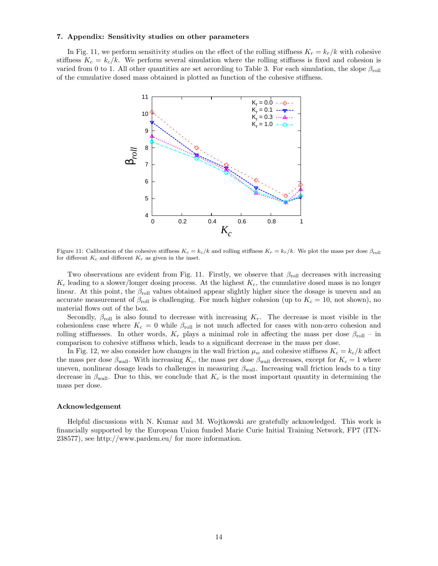## **7. Appendix: Sensitivity studies on other parameters**

In Fig. 11, we perform sensitivity studies on the effect of the rolling stiffness  $K_r = k_r/k$  with cohesive stiffness  $K_c = k_c/k$ . We perform several simulation where the rolling stiffness is fixed and cohesion is varied from 0 to 1. All other quantities are set according to Table 3. For each simulation, the slope  $\beta_{\text{roll}}$ of the cumulative dosed mass obtained is plotted as function of the cohesive stiffness.



Figure 11: Calibration of the cohesive stiffness  $K_c = k_c / k$  and rolling stiffness  $K_r = k_r / k$ . We plot the mass per dose  $\beta_{\text{roll}}$ for different  $K_c$  and different  $K_r$  as given in the inset.

Two observations are evident from Fig. 11. Firstly, we observe that *β*<sub>roll</sub> decreases with increasing  $K_c$  leading to a slower/longer dosing process. At the highest  $K_c$ , the cumulative dosed mass is no longer linear. At this point, the  $\beta_{\text{roll}}$  values obtained appear slightly higher since the dosage is uneven and an accurate measurement of  $\beta_{\text{roll}}$  is challenging. For much higher cohesion (up to  $K_c = 10$ , not shown), no material flows out of the box.

Secondly,  $\beta_{\text{roll}}$  is also found to decrease with increasing  $K_r$ . The decrease is most visible in the cohesionless case where  $K_c = 0$  while  $\beta_{\text{roll}}$  is not much affected for cases with non-zero cohesion and rolling stiffnesses. In other words,  $K_r$  plays a minimal role in affecting the mass per dose  $\beta_{\text{roll}}$  – in comparison to cohesive stiffness which, leads to a significant decrease in the mass per dose.

In Fig. 12, we also consider how changes in the wall friction  $\mu_w$  and cohesive stiffness  $K_c = k_c/k$  affect the mass per dose  $\beta_{\text{wall}}$ . With increasing  $K_c$ , the mass per dose  $\beta_{\text{wall}}$  decreases, except for  $K_c = 1$  where uneven, nonlinear dosage leads to challenges in measuring *β*wall. Increasing wall friction leads to a tiny decrease in  $\beta_{\text{wall}}$ . Due to this, we conclude that  $K_c$  is the most important quantity in determining the mass per dose.

## **Acknowledgement**

Helpful discussions with N. Kumar and M. Wojtkowski are gratefully acknowledged. This work is financially supported by the European Union funded Marie Curie Initial Training Network, FP7 (ITN-238577), see http://www.pardem.eu/ for more information.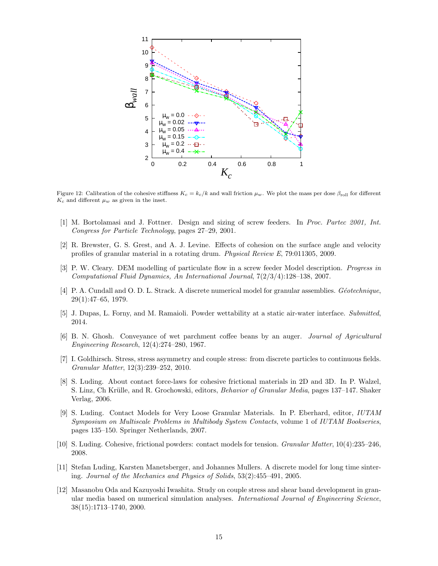

Figure 12: Calibration of the cohesive stiffness  $K_c = k_c/k$  and wall friction  $\mu_w$ . We plot the mass per dose  $\beta_{\text{roll}}$  for different  $K_c$  and different  $\mu_w$  as given in the inset.

- [1] M. Bortolamasi and J. Fottner. Design and sizing of screw feeders. In *Proc. Partec 2001, Int. Congress for Particle Technology*, pages 27–29, 2001.
- [2] R. Brewster, G. S. Grest, and A. J. Levine. Effects of cohesion on the surface angle and velocity profiles of granular material in a rotating drum. *Physical Review E*, 79:011305, 2009.
- [3] P. W. Cleary. DEM modelling of particulate flow in a screw feeder Model description. *Progress in Computational Fluid Dynamics, An International Journal*, 7(2/3/4):128–138, 2007.
- [4] P. A. Cundall and O. D. L. Strack. A discrete numerical model for granular assemblies. *G´eotechnique*, 29(1):47–65, 1979.
- [5] J. Dupas, L. Forny, and M. Ramaioli. Powder wettability at a static air-water interface. *Submitted*, 2014.
- [6] B. N. Ghosh. Conveyance of wet parchment coffee beans by an auger. *Journal of Agricultural Engineering Research*, 12(4):274–280, 1967.
- [7] I. Goldhirsch. Stress, stress asymmetry and couple stress: from discrete particles to continuous fields. *Granular Matter*, 12(3):239–252, 2010.
- [8] S. Luding. About contact force-laws for cohesive frictional materials in 2D and 3D. In P. Walzel, S. Linz, Ch Krülle, and R. Grochowski, editors, *Behavior of Granular Media*, pages 137–147. Shaker Verlag, 2006.
- [9] S. Luding. Contact Models for Very Loose Granular Materials. In P. Eberhard, editor, *IUTAM Symposium on Multiscale Problems in Multibody System Contacts*, volume 1 of *IUTAM Bookseries*, pages 135–150. Springer Netherlands, 2007.
- [10] S. Luding. Cohesive, frictional powders: contact models for tension. *Granular Matter*, 10(4):235–246, 2008.
- [11] Stefan Luding, Karsten Manetsberger, and Johannes Mullers. A discrete model for long time sintering. *Journal of the Mechanics and Physics of Solids*, 53(2):455–491, 2005.
- [12] Masanobu Oda and Kazuyoshi Iwashita. Study on couple stress and shear band development in granular media based on numerical simulation analyses. *International Journal of Engineering Science*, 38(15):1713–1740, 2000.